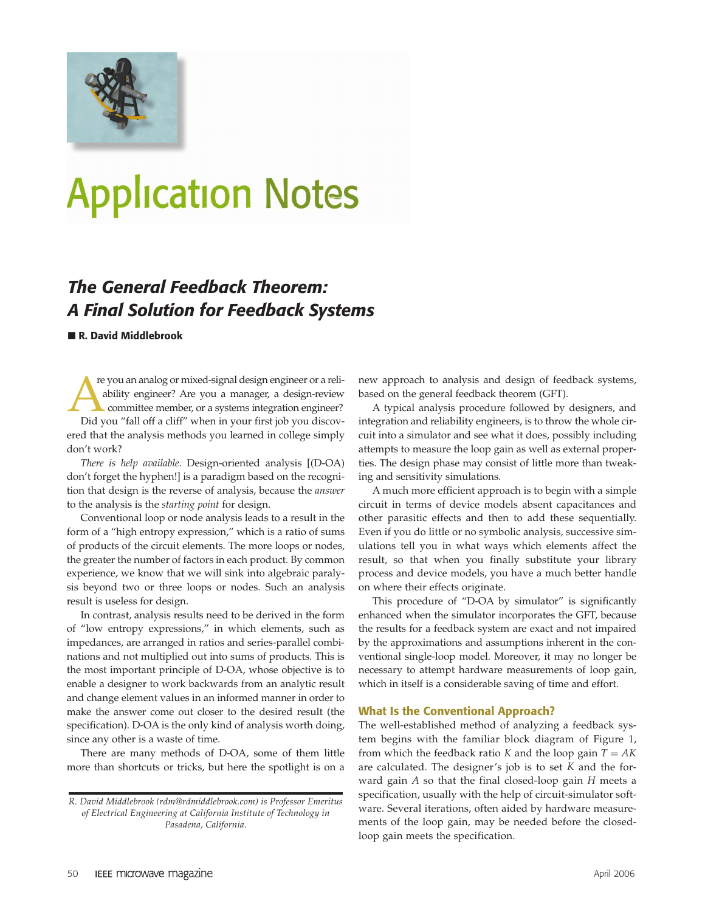

# **Application Notes**

## *The General Feedback Theorem: A Final Solution for Feedback Systems*

#### ■ **R. David Middlebrook**

re you an analog or mixed-signal design engineer or a reliability engineer? Are you a manager, a design-review committee member, or a systems integration engineer? re you an analog or mixed-signal design engineer or a reliability engineer? Are you a manager, a design-review committee member, or a systems integration engineer? Did you "fall off a cliff" when in your first job you disc ered that the analysis methods you learned in college simply don't work?

*There is help available*. Design-oriented analysis [(D-OA) don't forget the hyphen!] is a paradigm based on the recognition that design is the reverse of analysis, because the *answer* to the analysis is the *starting point* for design.

Conventional loop or node analysis leads to a result in the form of a "high entropy expression," which is a ratio of sums of products of the circuit elements. The more loops or nodes, the greater the number of factors in each product. By common experience, we know that we will sink into algebraic paralysis beyond two or three loops or nodes. Such an analysis result is useless for design.

In contrast, analysis results need to be derived in the form of "low entropy expressions," in which elements, such as impedances, are arranged in ratios and series-parallel combinations and not multiplied out into sums of products. This is the most important principle of D-OA, whose objective is to enable a designer to work backwards from an analytic result and change element values in an informed manner in order to make the answer come out closer to the desired result (the specification). D-OA is the only kind of analysis worth doing, since any other is a waste of time.

There are many methods of D-OA, some of them little more than shortcuts or tricks, but here the spotlight is on a

new approach to analysis and design of feedback systems, based on the general feedback theorem (GFT).

A typical analysis procedure followed by designers, and integration and reliability engineers, is to throw the whole circuit into a simulator and see what it does, possibly including attempts to measure the loop gain as well as external properties. The design phase may consist of little more than tweaking and sensitivity simulations.

A much more efficient approach is to begin with a simple circuit in terms of device models absent capacitances and other parasitic effects and then to add these sequentially. Even if you do little or no symbolic analysis, successive simulations tell you in what ways which elements affect the result, so that when you finally substitute your library process and device models, you have a much better handle on where their effects originate.

This procedure of "D-OA by simulator" is significantly enhanced when the simulator incorporates the GFT, because the results for a feedback system are exact and not impaired by the approximations and assumptions inherent in the conventional single-loop model. Moreover, it may no longer be necessary to attempt hardware measurements of loop gain, which in itself is a considerable saving of time and effort.

#### **What Is the Conventional Approach?**

The well-established method of analyzing a feedback system begins with the familiar block diagram of Figure 1, from which the feedback ratio *K* and the loop gain  $T = AK$ are calculated. The designer's job is to set *K* and the forward gain *A* so that the final closed-loop gain *H* meets a specification, usually with the help of circuit-simulator software. Several iterations, often aided by hardware measurements of the loop gain, may be needed before the closedloop gain meets the specification.

*R. David Middlebrook (rdm@rdmiddlebrook.com) is Professor Emeritus of Electrical Engineering at California Institute of Technology in Pasadena, California.*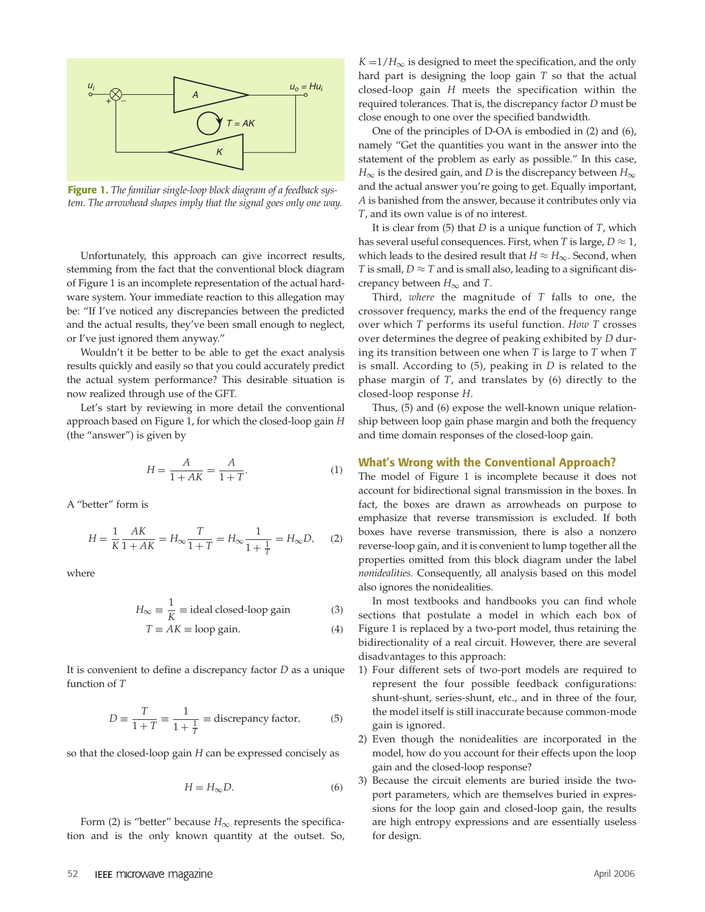

**Figure 1.** *The familiar single-loop block diagram of a feedback system. The arrowhead shapes imply that the signal goes only one way.*

Unfortunately, this approach can give incorrect results, stemming from the fact that the conventional block diagram of Figure 1 is an incomplete representation of the actual hardware system. Your immediate reaction to this allegation may be: "If I've noticed any discrepancies between the predicted and the actual results, they've been small enough to neglect, or I've just ignored them anyway."

Wouldn't it be better to be able to get the exact analysis results quickly and easily so that you could accurately predict the actual system performance? This desirable situation is now realized through use of the GFT.

Let's start by reviewing in more detail the conventional approach based on Figure 1, for which the closed-loop gain *H* (the "answer") is given by

$$
H = \frac{A}{1 + AK} = \frac{A}{1+T}.\tag{1}
$$

A "better" form is

$$
H = \frac{1}{K} \frac{AK}{1+AK} = H_{\infty} \frac{T}{1+T} = H_{\infty} \frac{1}{1+\frac{1}{T}} = H_{\infty} D, \quad (2)
$$

where

$$
H_{\infty} \equiv \frac{1}{K} \equiv \text{ideal closed-loop gain} \tag{3}
$$

$$
T \equiv AK \equiv \text{loop gain.} \tag{4}
$$

It is convenient to define a discrepancy factor *D* as a unique function of *T*

$$
D \equiv \frac{T}{1+T} \equiv \frac{1}{1+\frac{1}{T}} \equiv \text{discrepancy factor,}
$$
 (5)

so that the closed-loop gain *H* can be expressed concisely as

$$
H = H_{\infty}D. \tag{6}
$$

Form (2) is "better" because  $H_{\infty}$  represents the specification and is the only known quantity at the outset. So,

 $K = 1/H<sub>\infty</sub>$  is designed to meet the specification, and the only hard part is designing the loop gain *T* so that the actual closed-loop gain *H* meets the specification within the required tolerances. That is, the discrepancy factor *D* must be close enough to one over the specified bandwidth.

One of the principles of D-OA is embodied in (2) and (6), namely "Get the quantities you want in the answer into the statement of the problem as early as possible." In this case, *H*<sup>∞</sup> is the desired gain, and *D* is the discrepancy between  $H$ <sup>∞</sup> and the actual answer you're going to get. Equally important, *A* is banished from the answer, because it contributes only via *T*, and its own value is of no interest.

It is clear from (5) that *D* is a unique function of *T*, which has several useful consequences. First, when *T* is large,  $D \approx 1$ , which leads to the desired result that  $H \approx H_{\infty}$ . Second, when *T* is small,  $D \approx T$  and is small also, leading to a significant discrepancy between  $H_{\infty}$  and *T*.

Third, *where* the magnitude of *T* falls to one, the crossover frequency, marks the end of the frequency range over which *T* performs its useful function. *How T* crosses over determines the degree of peaking exhibited by *D* during its transition between one when *T* is large to *T* when *T* is small. According to (5), peaking in *D* is related to the phase margin of *T*, and translates by (6) directly to the closed-loop response *H*.

Thus, (5) and (6) expose the well-known unique relationship between loop gain phase margin and both the frequency and time domain responses of the closed-loop gain.

#### **What's Wrong with the Conventional Approach?**

The model of Figure 1 is incomplete because it does not account for bidirectional signal transmission in the boxes. In fact, the boxes are drawn as arrowheads on purpose to emphasize that reverse transmission is excluded. If both boxes have reverse transmission, there is also a nonzero reverse-loop gain, and it is convenient to lump together all the properties omitted from this block diagram under the label *nonidealities.* Consequently, all analysis based on this model also ignores the nonidealities.

In most textbooks and handbooks you can find whole sections that postulate a model in which each box of Figure 1 is replaced by a two-port model, thus retaining the bidirectionality of a real circuit. However, there are several disadvantages to this approach:

- 1) Four different sets of two-port models are required to represent the four possible feedback configurations: shunt-shunt, series-shunt, etc., and in three of the four, the model itself is still inaccurate because common-mode gain is ignored.
- 2) Even though the nonidealities are incorporated in the model, how do you account for their effects upon the loop gain and the closed-loop response?
- 3) Because the circuit elements are buried inside the twoport parameters, which are themselves buried in expressions for the loop gain and closed-loop gain, the results are high entropy expressions and are essentially useless for design.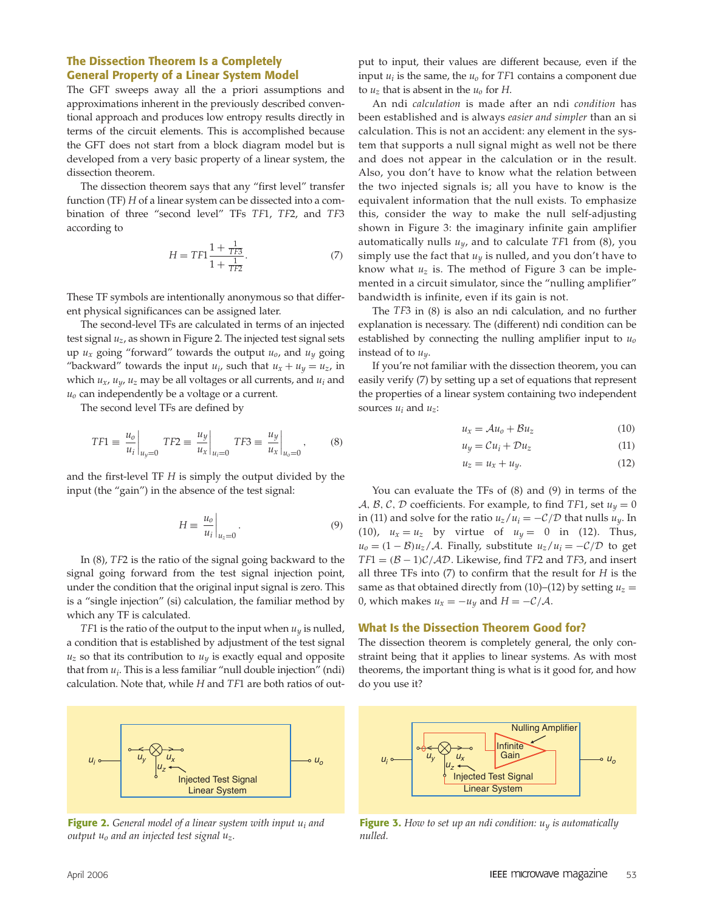#### **The Dissection Theorem Is a Completely General Property of a Linear System Model**

The GFT sweeps away all the a priori assumptions and approximations inherent in the previously described conventional approach and produces low entropy results directly in terms of the circuit elements. This is accomplished because the GFT does not start from a block diagram model but is developed from a very basic property of a linear system, the dissection theorem.

The dissection theorem says that any "first level" transfer function (TF) *H* of a linear system can be dissected into a combination of three "second level" TFs *TF*1, *TF*2, and *TF*3 according to

$$
H = TF1 \frac{1 + \frac{1}{TF3}}{1 + \frac{1}{TF2}}.
$$
 (7)

These TF symbols are intentionally anonymous so that different physical significances can be assigned later.

The second-level TFs are calculated in terms of an injected test signal *uz*, as shown in Figure 2. The injected test signal sets up *ux* going "forward" towards the output *uo*, and *uy* going "backward" towards the input  $u_i$ , such that  $u_x + u_y = u_z$ , in which *ux*, *uy*, *uz* may be all voltages or all currents, and *ui* and *uo* can independently be a voltage or a current.

The second level TFs are defined by

$$
TF1 \equiv \left. \frac{u_o}{u_i} \right|_{u_y=0} \, TF2 \equiv \left. \frac{u_y}{u_x} \right|_{u_i=0} \, TF3 \equiv \left. \frac{u_y}{u_x} \right|_{u_o=0}, \tag{8}
$$

and the first-level TF *H* is simply the output divided by the input (the "gain") in the absence of the test signal:

$$
H \equiv \left. \frac{u_0}{u_i} \right|_{u_2 = 0} . \tag{9}
$$

In (8), *TF*2 is the ratio of the signal going backward to the signal going forward from the test signal injection point, under the condition that the original input signal is zero. This is a "single injection" (si) calculation, the familiar method by which any TF is calculated.

*TF*1 is the ratio of the output to the input when  $u<sub>y</sub>$  is nulled, a condition that is established by adjustment of the test signal  $u_z$  so that its contribution to  $u_y$  is exactly equal and opposite that from *ui*. This is a less familiar "null double injection" (ndi) calculation. Note that, while *H* and *TF*1 are both ratios of out-



**Figure 2.** *General model of a linear system with input ui and output uo and an injected test signal uz.*

put to input, their values are different because, even if the input *ui* is the same, the *uo* for *TF*1 contains a component due to  $u_z$  that is absent in the  $u_0$  for *H*.

An ndi *calculation* is made after an ndi *condition* has been established and is always *easier and simpler* than an si calculation. This is not an accident: any element in the system that supports a null signal might as well not be there and does not appear in the calculation or in the result. Also, you don't have to know what the relation between the two injected signals is; all you have to know is the equivalent information that the null exists. To emphasize this, consider the way to make the null self-adjusting shown in Figure 3: the imaginary infinite gain amplifier automatically nulls  $u_y$ , and to calculate *TF*1 from (8), you simply use the fact that  $u_y$  is nulled, and you don't have to know what  $u_z$  is. The method of Figure 3 can be implemented in a circuit simulator, since the "nulling amplifier" bandwidth is infinite, even if its gain is not.

The *TF*3 in (8) is also an ndi calculation, and no further explanation is necessary. The (different) ndi condition can be established by connecting the nulling amplifier input to *uo* instead of to *uy*.

If you're not familiar with the dissection theorem, you can easily verify (7) by setting up a set of equations that represent the properties of a linear system containing two independent sources *ui* and *uz*:

$$
u_x = \mathcal{A}u_0 + \mathcal{B}u_2 \tag{10}
$$

$$
u_y = Cu_i + Du_z \tag{11}
$$

$$
u_z = u_x + u_y. \tag{12}
$$

You can evaluate the TFs of (8) and (9) in terms of the *A*, *B*, *C*, *D* coefficients. For example, to find *TF1*, set  $u_y = 0$ in (11) and solve for the ratio  $u_z/u_i = -C/D$  that nulls  $u_y$ . In (10),  $u_x = u_z$  by virtue of  $u_y = 0$  in (12). Thus,  $u_0 = (1 - \mathcal{B})u_z/\mathcal{A}$ . Finally, substitute  $u_z/u_i = -\mathcal{C}/\mathcal{D}$  to get  $TF1 = (B - 1)C/AD$ . Likewise, find *TF2* and *TF3*, and insert all three TFs into (7) to confirm that the result for *H* is the same as that obtained directly from (10)–(12) by setting  $u_z =$ 0, which makes  $u_x = -u_y$  and  $H = -C/A$ .

#### **What Is the Dissection Theorem Good for?**

The dissection theorem is completely general, the only constraint being that it applies to linear systems. As with most theorems, the important thing is what is it good for, and how do you use it?



**Figure 3.** *How to set up an ndi condition: uy is automatically nulled.*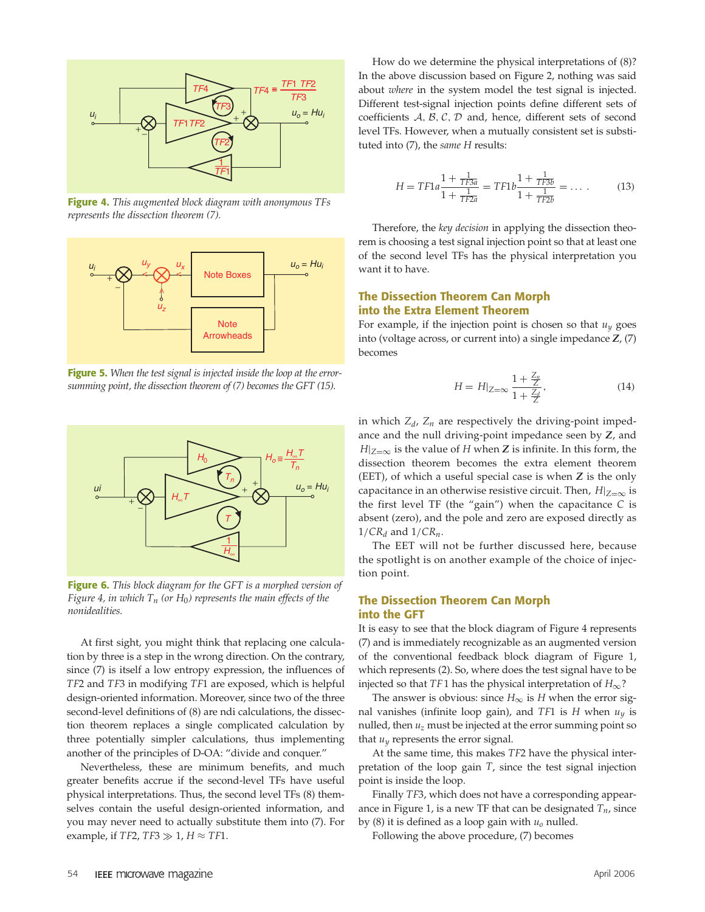

**Figure 4.** *This augmented block diagram with anonymous TFs represents the dissection theorem (7).*



**Figure 5.** *When the test signal is injected inside the loop at the errorsumming point, the dissection theorem of (7) becomes the GFT (15).*



**Figure 6.** *This block diagram for the GFT is a morphed version of Figure 4, in which Tn (or H*0*) represents the main effects of the nonidealities.*

At first sight, you might think that replacing one calculation by three is a step in the wrong direction. On the contrary, since (7) is itself a low entropy expression, the influences of *TF*2 and *TF*3 in modifying *TF*1 are exposed, which is helpful design-oriented information. Moreover, since two of the three second-level definitions of (8) are ndi calculations, the dissection theorem replaces a single complicated calculation by three potentially simpler calculations, thus implementing another of the principles of D-OA: "divide and conquer."

Nevertheless, these are minimum benefits, and much greater benefits accrue if the second-level TFs have useful physical interpretations. Thus, the second level TFs (8) themselves contain the useful design-oriented information, and you may never need to actually substitute them into (7). For example, if *TF2*, *TF3*  $\gg$  1, *H*  $\approx$  *TF1*.

How do we determine the physical interpretations of (8)? In the above discussion based on Figure 2, nothing was said about *where* in the system model the test signal is injected. Different test-signal injection points define different sets of coefficients  $A, B, C, D$  and, hence, different sets of second level TFs. However, when a mutually consistent set is substituted into (7), the *same H* results:

$$
H = T F 1 a \frac{1 + \frac{1}{T F 3a}}{1 + \frac{1}{T F 2a}} = T F 1 b \frac{1 + \frac{1}{T F 3b}}{1 + \frac{1}{T F 2b}} = \dots
$$
 (13)

Therefore, the *key decision* in applying the dissection theorem is choosing a test signal injection point so that at least one of the second level TFs has the physical interpretation you want it to have.

#### **The Dissection Theorem Can Morph into the Extra Element Theorem**

For example, if the injection point is chosen so that  $u_y$  goes into (voltage across, or current into) a single impedance *Z*, (7) becomes

$$
H = H|_{Z=\infty} \frac{1 + \frac{Z_u}{Z}}{1 + \frac{Z_d}{Z}},\tag{14}
$$

in which  $Z_d$ ,  $Z_n$  are respectively the driving-point impedance and the null driving-point impedance seen by *Z*, and  $H|_{Z=\infty}$  is the value of *H* when *Z* is infinite. In this form, the dissection theorem becomes the extra element theorem (EET), of which a useful special case is when *Z* is the only capacitance in an otherwise resistive circuit. Then,  $H|_{Z=\infty}$  is the first level TF (the "gain") when the capacitance *C* is absent (zero), and the pole and zero are exposed directly as  $1/CR_d$  and  $1/CR_n$ .

The EET will not be further discussed here, because the spotlight is on another example of the choice of injection point.

#### **The Dissection Theorem Can Morph into the GFT**

It is easy to see that the block diagram of Figure 4 represents (7) and is immediately recognizable as an augmented version of the conventional feedback block diagram of Figure 1, which represents (2). So, where does the test signal have to be injected so that *TF*1 has the physical interpretation of *H*∞?

The answer is obvious: since  $H_{\infty}$  is *H* when the error signal vanishes (infinite loop gain), and *TF*1 is *H* when *uy* is nulled, then *uz* must be injected at the error summing point so that  $u<sub>V</sub>$  represents the error signal.

At the same time, this makes *TF*2 have the physical interpretation of the loop gain *T*, since the test signal injection point is inside the loop.

Finally *TF*3, which does not have a corresponding appearance in Figure 1, is a new TF that can be designated  $T_n$ , since by (8) it is defined as a loop gain with *uo* nulled.

Following the above procedure, (7) becomes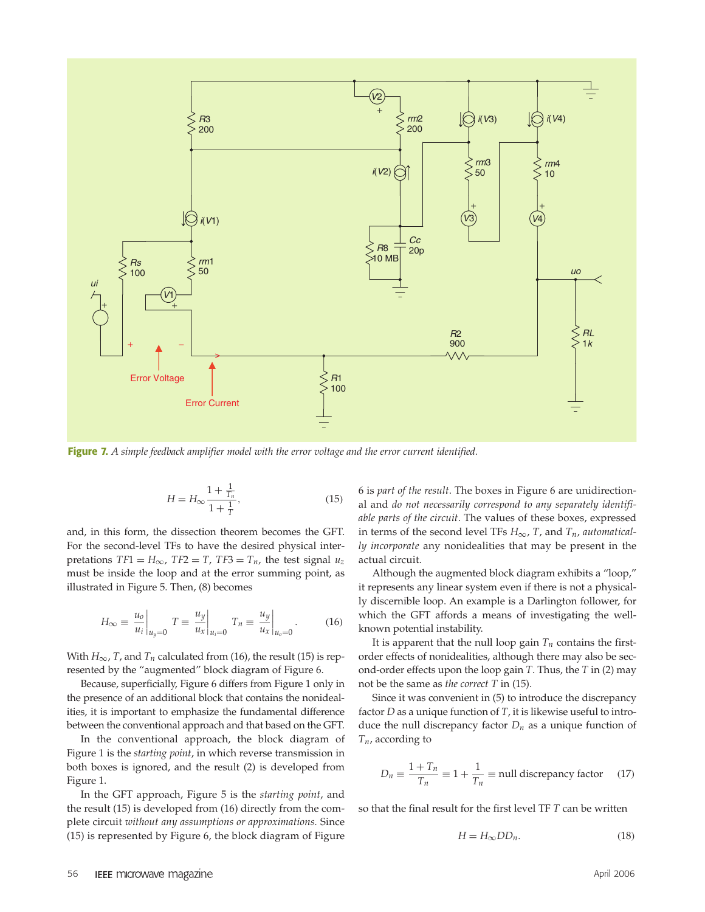

**Figure 7.** *A simple feedback amplifier model with the error voltage and the error current identified.*

$$
H = H_{\infty} \frac{1 + \frac{1}{T_n}}{1 + \frac{1}{T}},
$$
\n(15)

and, in this form, the dissection theorem becomes the GFT. For the second-level TFs to have the desired physical interpretations  $TF1 = H_{\infty}$ ,  $TF2 = T$ ,  $TF3 = T_n$ , the test signal  $u_z$ must be inside the loop and at the error summing point, as illustrated in Figure 5. Then, (8) becomes

$$
H_{\infty} \equiv \frac{u_0}{u_i} \bigg|_{u_y = 0} \ T \equiv \frac{u_y}{u_x} \bigg|_{u_i = 0} \ T_n \equiv \frac{u_y}{u_x} \bigg|_{u_0 = 0} \ . \tag{16}
$$

With  $H_{\infty}$ , *T*, and  $T_n$  calculated from (16), the result (15) is represented by the "augmented" block diagram of Figure 6.

Because, superficially, Figure 6 differs from Figure 1 only in the presence of an additional block that contains the nonidealities, it is important to emphasize the fundamental difference between the conventional approach and that based on the GFT.

In the conventional approach, the block diagram of Figure 1 is the *starting point*, in which reverse transmission in both boxes is ignored, and the result (2) is developed from Figure 1.

In the GFT approach, Figure 5 is the *starting point*, and the result (15) is developed from (16) directly from the complete circuit *without any assumptions or approximations.* Since (15) is represented by Figure 6, the block diagram of Figure

6 is *part of the result*. The boxes in Figure 6 are unidirectional and *do not necessarily correspond to any separately identifiable parts of the circuit*. The values of these boxes, expressed in terms of the second level TFs  $H_{\infty}$ , *T*, and  $T_n$ , *automatically incorporate* any nonidealities that may be present in the actual circuit.

Although the augmented block diagram exhibits a "loop," it represents any linear system even if there is not a physically discernible loop. An example is a Darlington follower, for which the GFT affords a means of investigating the wellknown potential instability.

It is apparent that the null loop gain  $T_n$  contains the firstorder effects of nonidealities, although there may also be second-order effects upon the loop gain *T*. Thus, the *T* in (2) may not be the same as *the correct T* in (15).

Since it was convenient in (5) to introduce the discrepancy factor *D* as a unique function of *T*, it is likewise useful to introduce the null discrepancy factor *Dn* as a unique function of *Tn*, according to

$$
D_n \equiv \frac{1 + T_n}{T_n} \equiv 1 + \frac{1}{T_n} \equiv \text{null discrepancy factor} \quad (17)
$$

so that the final result for the first level TF *T* can be written

$$
H = H_{\infty} D D_n. \tag{18}
$$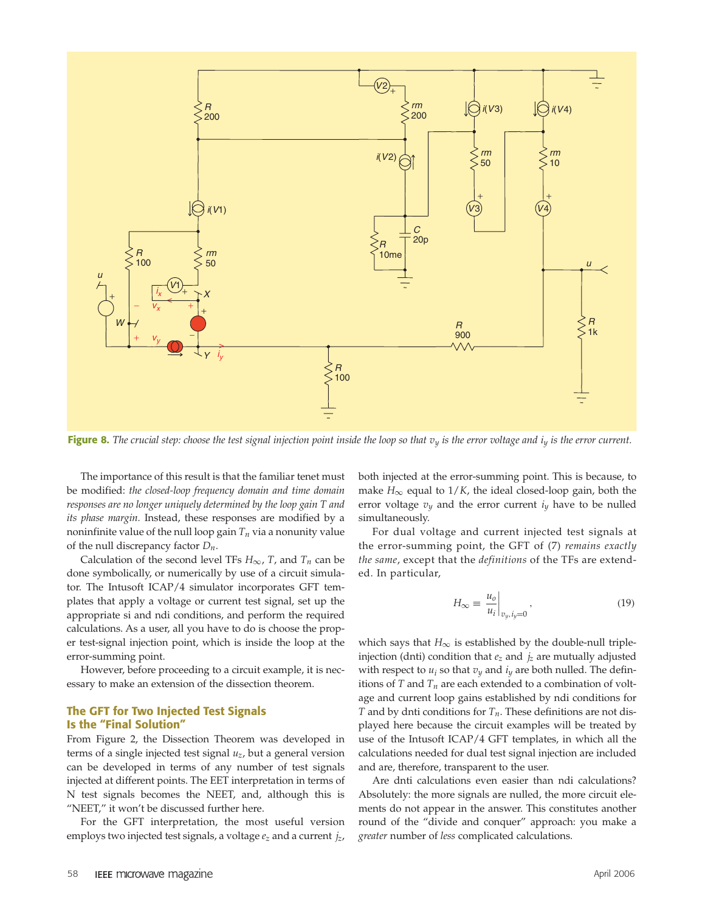

**Figure 8.** *The crucial step: choose the test signal injection point inside the loop so that vy is the error voltage and iy is the error current.*

The importance of this result is that the familiar tenet must be modified: *the closed-loop frequency domain and time domain responses are no longer uniquely determined by the loop gain T and its phase margin.* Instead, these responses are modified by a noninfinite value of the null loop gain  $T_n$  via a nonunity value of the null discrepancy factor *Dn*.

Calculation of the second level TFs  $H_{\infty}$ , *T*, and  $T_n$  can be done symbolically, or numerically by use of a circuit simulator. The Intusoft ICAP/4 simulator incorporates GFT templates that apply a voltage or current test signal, set up the appropriate si and ndi conditions, and perform the required calculations. As a user, all you have to do is choose the proper test-signal injection point, which is inside the loop at the error-summing point.

However, before proceeding to a circuit example, it is necessary to make an extension of the dissection theorem.

#### **The GFT for Two Injected Test Signals Is the "Final Solution"**

From Figure 2, the Dissection Theorem was developed in terms of a single injected test signal *uz*, but a general version can be developed in terms of any number of test signals injected at different points. The EET interpretation in terms of N test signals becomes the NEET, and, although this is "NEET," it won't be discussed further here.

For the GFT interpretation, the most useful version employs two injected test signals, a voltage *ez* and a current *jz*, both injected at the error-summing point. This is because, to make  $H_{\infty}$  equal to  $1/K$ , the ideal closed-loop gain, both the error voltage  $v_y$  and the error current  $i_y$  have to be nulled simultaneously.

For dual voltage and current injected test signals at the error-summing point, the GFT of (7) *remains exactly the same*, except that the *definitions* of the TFs are extended. In particular,

$$
H_{\infty} \equiv \left. \frac{u_0}{u_i} \right|_{v_y, i_y = 0},\tag{19}
$$

which says that  $H_{\infty}$  is established by the double-null tripleinjection (dnti) condition that *ez* and *jz* are mutually adjusted with respect to  $u_i$  so that  $v_y$  and  $i_y$  are both nulled. The definitions of  $T$  and  $T_n$  are each extended to a combination of voltage and current loop gains established by ndi conditions for *T* and by dnti conditions for  $T_n$ . These definitions are not displayed here because the circuit examples will be treated by use of the Intusoft ICAP/4 GFT templates, in which all the calculations needed for dual test signal injection are included and are, therefore, transparent to the user.

Are dnti calculations even easier than ndi calculations? Absolutely: the more signals are nulled, the more circuit elements do not appear in the answer. This constitutes another round of the "divide and conquer" approach: you make a *greater* number of *less* complicated calculations.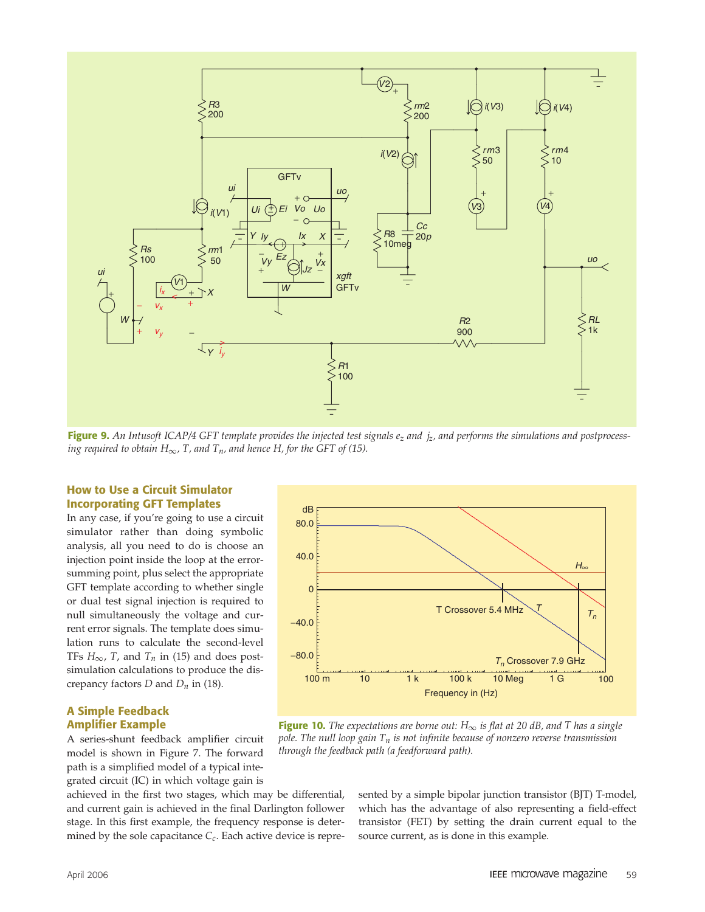

**Figure 9.** *An Intusoft ICAP/4 GFT template provides the injected test signals ez and jz, and performs the simulations and postprocessing required to obtain*  $H_{\infty}$ , *T*, and  $T_n$ , and hence H, for the GFT of (15).

#### **How to Use a Circuit Simulator Incorporating GFT Templates**

In any case, if you're going to use a circuit simulator rather than doing symbolic analysis, all you need to do is choose an injection point inside the loop at the errorsumming point, plus select the appropriate GFT template according to whether single or dual test signal injection is required to null simultaneously the voltage and current error signals. The template does simulation runs to calculate the second-level TFs  $H_{\infty}$ , *T*, and  $T_n$  in (15) and does postsimulation calculations to produce the discrepancy factors *D* and *Dn* in (18).

#### **A Simple Feedback Amplifier Example**

A series-shunt feedback amplifier circuit model is shown in Figure 7. The forward path is a simplified model of a typical integrated circuit (IC) in which voltage gain is

achieved in the first two stages, which may be differential, and current gain is achieved in the final Darlington follower stage. In this first example, the frequency response is determined by the sole capacitance *Cc*. Each active device is repre-



**Figure 10.** *The expectations are borne out:*  $H_{\infty}$  *is flat at 20 dB, and T has a single pole. The null loop gain*  $T_n$  *is not infinite because of nonzero reverse transmission through the feedback path (a feedforward path).*

sented by a simple bipolar junction transistor (BJT) T-model, which has the advantage of also representing a field-effect transistor (FET) by setting the drain current equal to the source current, as is done in this example.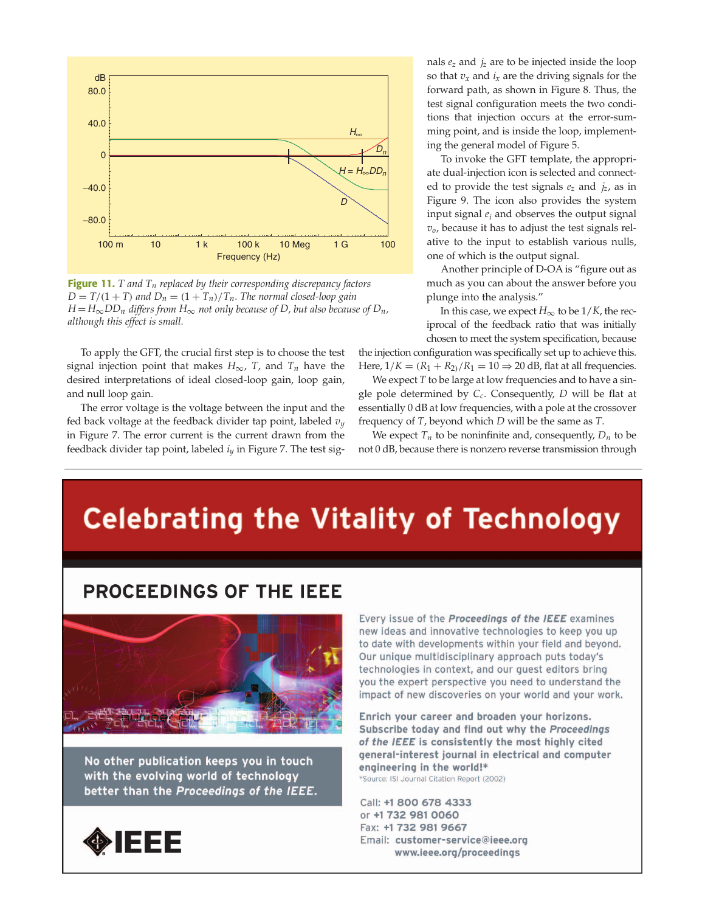

**Figure 11.** *T and Tn replaced by their corresponding discrepancy factors*  $D = T/(1 + T)$  *and*  $D_n = (1 + T_n)/T_n$ . *The normal closed-loop gain*  $H = H_{\infty} D D_n$  *differs from*  $H_{\infty}$  *not only because of D, but also because of D<sub>n</sub>, although this effect is small.*

To apply the GFT, the crucial first step is to choose the test signal injection point that makes  $H_{\infty}$ , *T*, and  $T_n$  have the desired interpretations of ideal closed-loop gain, loop gain, and null loop gain.

The error voltage is the voltage between the input and the fed back voltage at the feedback divider tap point, labeled *vy* in Figure 7. The error current is the current drawn from the feedback divider tap point, labeled *iy* in Figure 7. The test signals *ez* and *jz* are to be injected inside the loop so that  $v_x$  and  $i_x$  are the driving signals for the forward path, as shown in Figure 8. Thus, the test signal configuration meets the two conditions that injection occurs at the error-summing point, and is inside the loop, implementing the general model of Figure 5.

To invoke the GFT template, the appropriate dual-injection icon is selected and connected to provide the test signals *ez* and *jz*, as in Figure 9. The icon also provides the system input signal *ei* and observes the output signal *vo*, because it has to adjust the test signals relative to the input to establish various nulls, one of which is the output signal.

Another principle of D-OA is "figure out as much as you can about the answer before you plunge into the analysis."

In this case, we expect  $H_{\infty}$  to be  $1/K$ , the reciprocal of the feedback ratio that was initially chosen to meet the system specification, because

the injection configuration was specifically set up to achieve this. Here,  $1/K = (R_1 + R_2)/R_1 = 10 \Rightarrow 20 \text{ dB}$ , flat at all frequencies.

We expect *T* to be large at low frequencies and to have a single pole determined by *Cc*. Consequently, *D* will be flat at essentially 0 dB at low frequencies, with a pole at the crossover frequency of *T*, beyond which *D* will be the same as *T*.

We expect  $T_n$  to be noninfinite and, consequently,  $D_n$  to be not 0 dB, because there is nonzero reverse transmission through

# **Celebrating the Vitality of Technology**

### **PROCEEDINGS OF THE IEEE**



No other publication keeps you in touch with the evolving world of technology better than the Proceedings of the IEEE.



Every issue of the Proceedings of the IEEE examines new ideas and innovative technologies to keep you up to date with developments within your field and beyond. Our unique multidisciplinary approach puts today's technologies in context, and our quest editors bring you the expert perspective you need to understand the impact of new discoveries on your world and your work.

Enrich your career and broaden your horizons. Subscribe today and find out why the Proceedings of the IEEE is consistently the most highly cited general-interest journal in electrical and computer engineering in the world!\* \*Source: ISI Journal Citation Report (2002)

Call: +1 800 678 4333 or +1 732 981 0060 Fax: +1 732 981 9667 Email: customer-service@ieee.org www.ieee.org/proceedings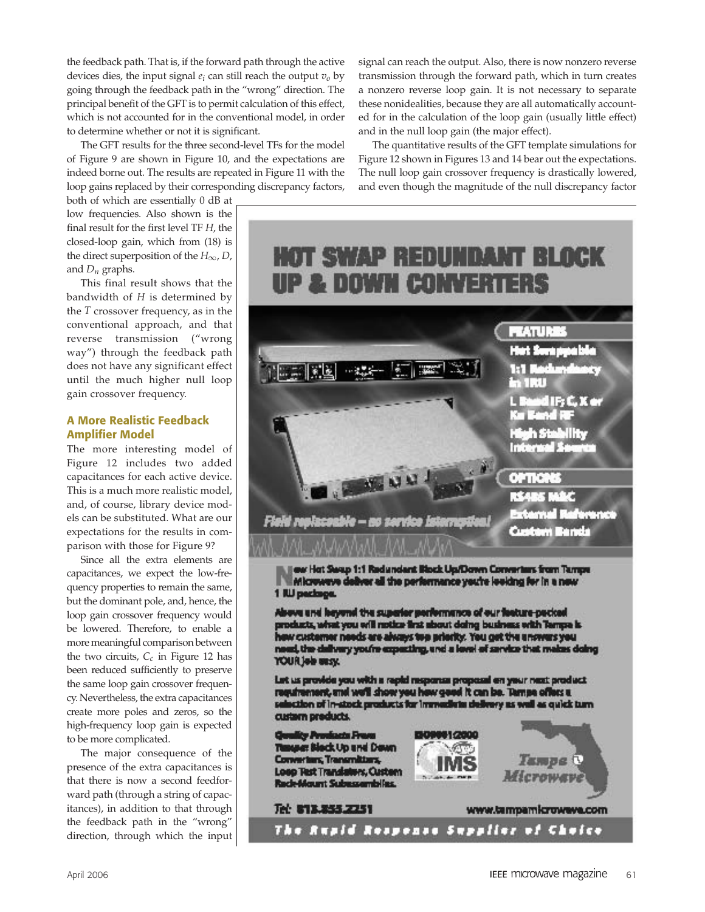the feedback path. That is, if the forward path through the active devices dies, the input signal  $e_i$  can still reach the output  $v_0$  by going through the feedback path in the "wrong" direction. The principal benefit of the GFT is to permit calculation of this effect, which is not accounted for in the conventional model, in order to determine whether or not it is significant.

The GFT results for the three second-level TFs for the model of Figure 9 are shown in Figure 10, and the expectations are indeed borne out. The results are repeated in Figure 11 with the loop gains replaced by their corresponding discrepancy factors,

both of which are essentially 0 dB at low frequencies. Also shown is the final result for the first level TF *H*, the closed-loop gain, which from (18) is the direct superposition of the  $H_{\infty}$ , *D*, and *Dn* graphs.

This final result shows that the bandwidth of *H* is determined by the *T* crossover frequency, as in the conventional approach, and that reverse transmission ("wrong way") through the feedback path does not have any significant effect until the much higher null loop gain crossover frequency.

#### **A More Realistic Feedback Amplifier Model**

The more interesting model of Figure 12 includes two added capacitances for each active device. This is a much more realistic model, and, of course, library device models can be substituted. What are our expectations for the results in comparison with those for Figure 9?

Since all the extra elements are capacitances, we expect the low-frequency properties to remain the same, but the dominant pole, and, hence, the loop gain crossover frequency would be lowered. Therefore, to enable a more meaningful comparison between the two circuits,  $C_c$  in Figure 12 has been reduced sufficiently to preserve the same loop gain crossover frequency. Nevertheless, the extra capacitances create more poles and zeros, so the high-frequency loop gain is expected to be more complicated.

The major consequence of the presence of the extra capacitances is that there is now a second feedforward path (through a string of capacitances), in addition to that through the feedback path in the "wrong" direction, through which the input

signal can reach the output. Also, there is now nonzero reverse transmission through the forward path, which in turn creates a nonzero reverse loop gain. It is not necessary to separate these nonidealities, because they are all automatically accounted for in the calculation of the loop gain (usually little effect) and in the null loop gain (the major effect).

The quantitative results of the GFT template simulations for Figure 12 shown in Figures 13 and 14 bear out the expectations. The null loop gain crossover frequency is drastically lowered, and even though the magnitude of the null discrepancy factor

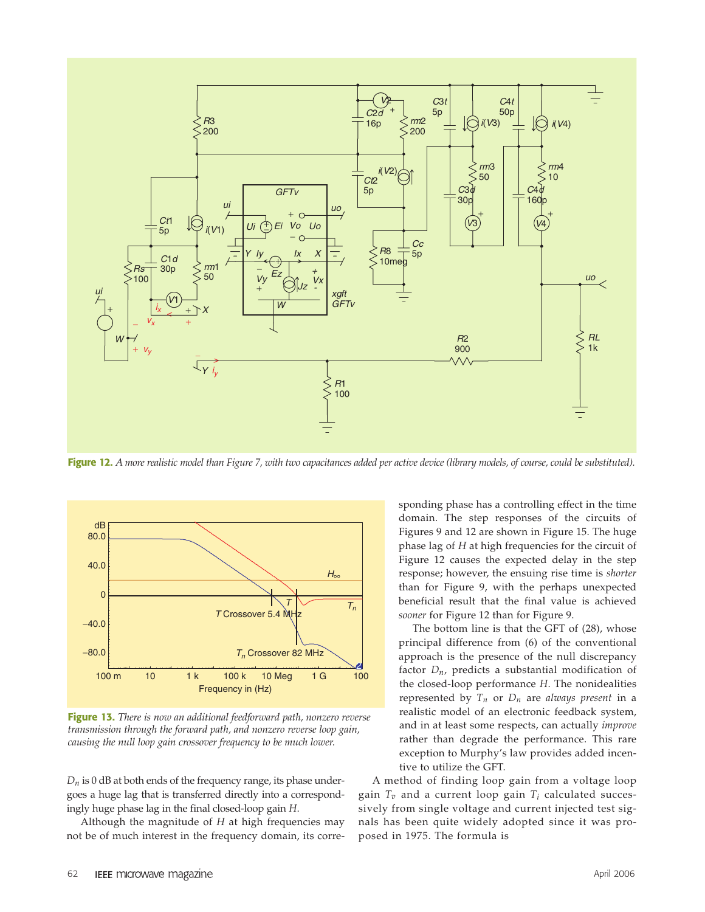

**Figure 12.** *A more realistic model than Figure 7, with two capacitances added per active device (library models, of course, could be substituted).*



**Figure 13.** *There is now an additional feedforward path, nonzero reverse transmission through the forward path, and nonzero reverse loop gain, causing the null loop gain crossover frequency to be much lower.*

 $D_n$  is 0 dB at both ends of the frequency range, its phase undergoes a huge lag that is transferred directly into a correspondingly huge phase lag in the final closed-loop gain *H*.

Although the magnitude of *H* at high frequencies may not be of much interest in the frequency domain, its corre-

sponding phase has a controlling effect in the time domain. The step responses of the circuits of Figures 9 and 12 are shown in Figure 15. The huge phase lag of *H* at high frequencies for the circuit of Figure 12 causes the expected delay in the step response; however, the ensuing rise time is *shorter* than for Figure 9, with the perhaps unexpected beneficial result that the final value is achieved *sooner* for Figure 12 than for Figure 9.

The bottom line is that the GFT of (28), whose principal difference from (6) of the conventional approach is the presence of the null discrepancy factor  $D_n$ , predicts a substantial modification of the closed-loop performance *H*. The nonidealities represented by  $T_n$  or  $D_n$  are *always present* in a realistic model of an electronic feedback system, and in at least some respects, can actually *improve* rather than degrade the performance. This rare exception to Murphy's law provides added incentive to utilize the GFT.

A method of finding loop gain from a voltage loop gain  $T_v$  and a current loop gain  $T_i$  calculated successively from single voltage and current injected test signals has been quite widely adopted since it was proposed in 1975. The formula is